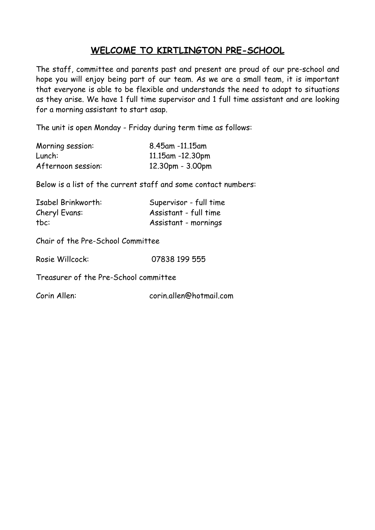# **WELCOME TO KIRTLINGTON PRE-SCHOOL**

The staff, committee and parents past and present are proud of our pre-school and hope you will enjoy being part of our team. As we are a small team, it is important that everyone is able to be flexible and understands the need to adapt to situations as they arise. We have 1 full time supervisor and 1 full time assistant and are looking for a morning assistant to start asap.

The unit is open Monday - Friday during term time as follows:

| Morning session:   | 8.45am -11.15am    |
|--------------------|--------------------|
| Lunch:             | 11.15am -12.30pm   |
| Afternoon session: | $12.30pm - 3.00pm$ |

Below is a list of the current staff and some contact numbers:

| Isabel Brinkworth: | Supervisor - full time |
|--------------------|------------------------|
| Cheryl Evans:      | Assistant - full time  |
| tbc:               | Assistant - mornings   |

Chair of the Pre-School Committee

Rosie Willcock: 07838 199 555

Treasurer of the Pre-School committee

Corin Allen: corin.allen@hotmail.com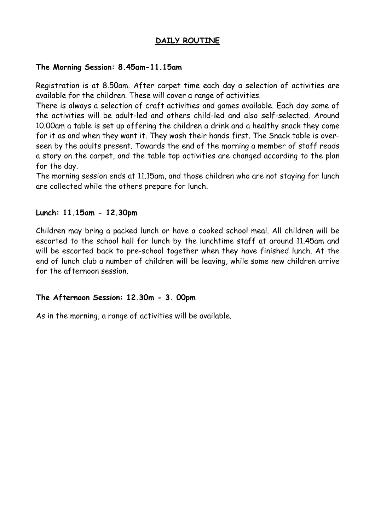### **DAILY ROUTINE**

#### **The Morning Session: 8.45am-11.15am**

Registration is at 8.50am. After carpet time each day a selection of activities are available for the children. These will cover a range of activities.

There is always a selection of craft activities and games available. Each day some of the activities will be adult-led and others child-led and also self-selected. Around 10.00am a table is set up offering the children a drink and a healthy snack they come for it as and when they want it. They wash their hands first. The Snack table is overseen by the adults present. Towards the end of the morning a member of staff reads a story on the carpet, and the table top activities are changed according to the plan for the day.

The morning session ends at 11.15am, and those children who are not staying for lunch are collected while the others prepare for lunch.

#### **Lunch: 11.15am - 12.30pm**

Children may bring a packed lunch or have a cooked school meal. All children will be escorted to the school hall for lunch by the lunchtime staff at around 11.45am and will be escorted back to pre-school together when they have finished lunch. At the end of lunch club a number of children will be leaving, while some new children arrive for the afternoon session.

#### **The Afternoon Session: 12.30m - 3. 00pm**

As in the morning, a range of activities will be available.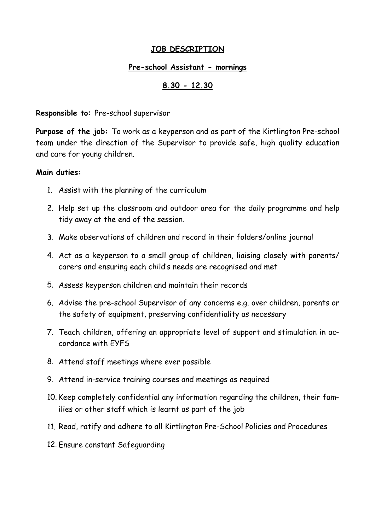# **JOB DESCRIPTION**

### **Pre-school Assistant - mornings**

# **8.30 - 12.30**

**Responsible to:** Pre-school supervisor

**Purpose of the job:** To work as a keyperson and as part of the Kirtlington Pre-school team under the direction of the Supervisor to provide safe, high quality education and care for young children.

### **Main duties:**

- 1. Assist with the planning of the curriculum
- 2. Help set up the classroom and outdoor area for the daily programme and help tidy away at the end of the session.
- 3. Make observations of children and record in their folders/online journal
- 4. Act as a keyperson to a small group of children, liaising closely with parents/ carers and ensuring each child's needs are recognised and met
- 5. Assess keyperson children and maintain their records
- 6. Advise the pre-school Supervisor of any concerns e.g. over children, parents or the safety of equipment, preserving confidentiality as necessary
- 7. Teach children, offering an appropriate level of support and stimulation in accordance with EYFS
- 8. Attend staff meetings where ever possible
- 9. Attend in-service training courses and meetings as required
- 10. Keep completely confidential any information regarding the children, their families or other staff which is learnt as part of the job
- 11. Read, ratify and adhere to all Kirtlington Pre-School Policies and Procedures
- 12. Ensure constant Safeguarding